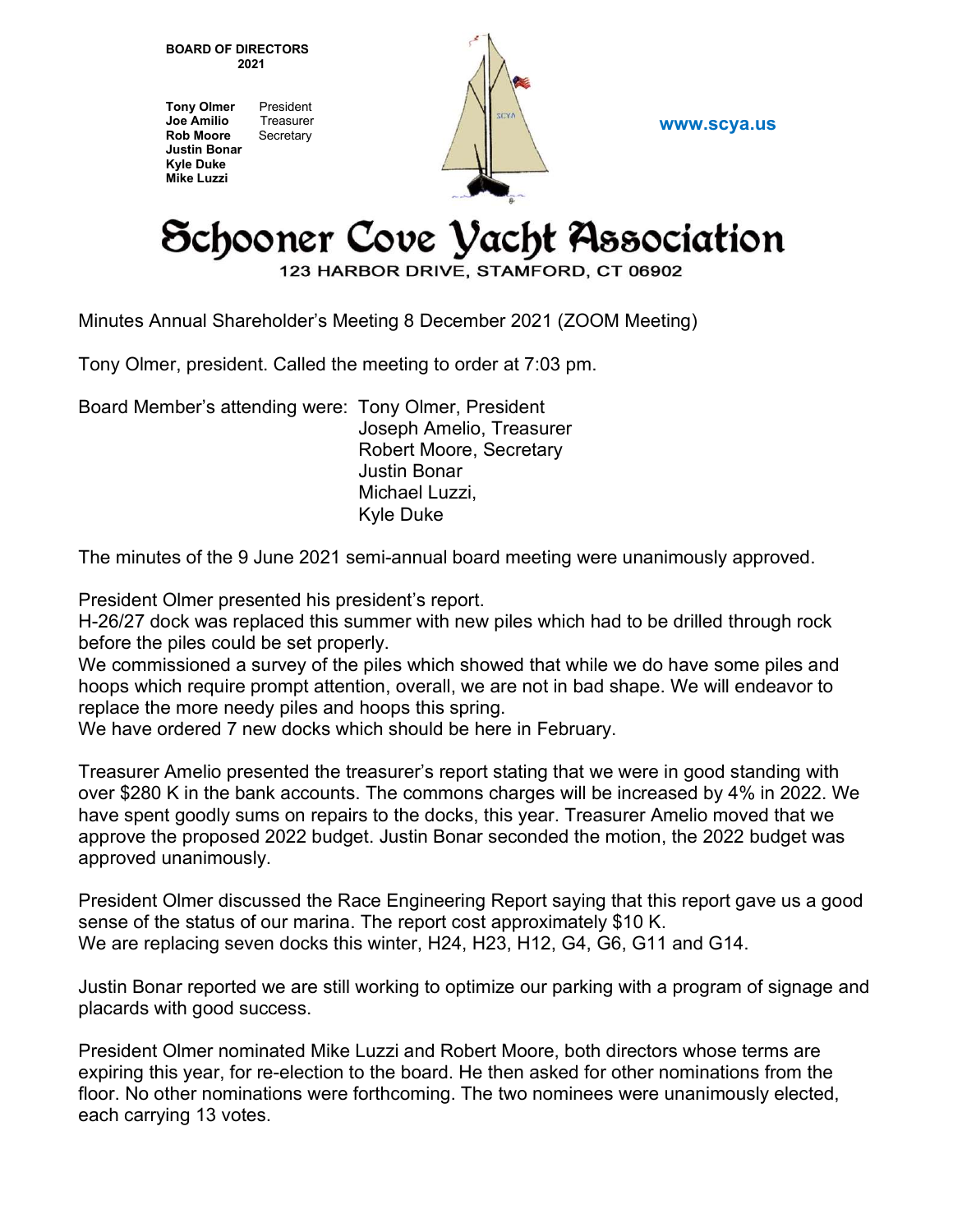BOARD OF DIRECTORS 2021

Tony Olmer President Joe Amilio Treasurer Rob Moore Secretary Justin Bonar Kyle Duke Mike Luzzi



www.scya.us

## Schooner Cove Vacht Association

123 HARBOR DRIVE, STAMFORD, CT 06902

Minutes Annual Shareholder's Meeting 8 December 2021 (ZOOM Meeting)

Tony Olmer, president. Called the meeting to order at 7:03 pm.

Board Member's attending were: Tony Olmer, President

 Joseph Amelio, Treasurer Robert Moore, Secretary Justin Bonar Michael Luzzi, Kyle Duke

The minutes of the 9 June 2021 semi-annual board meeting were unanimously approved.

President Olmer presented his president's report.

H-26/27 dock was replaced this summer with new piles which had to be drilled through rock before the piles could be set properly.

We commissioned a survey of the piles which showed that while we do have some piles and hoops which require prompt attention, overall, we are not in bad shape. We will endeavor to replace the more needy piles and hoops this spring.

We have ordered 7 new docks which should be here in February.

Treasurer Amelio presented the treasurer's report stating that we were in good standing with over \$280 K in the bank accounts. The commons charges will be increased by 4% in 2022. We have spent goodly sums on repairs to the docks, this year. Treasurer Amelio moved that we approve the proposed 2022 budget. Justin Bonar seconded the motion, the 2022 budget was approved unanimously.

President Olmer discussed the Race Engineering Report saying that this report gave us a good sense of the status of our marina. The report cost approximately \$10 K. We are replacing seven docks this winter, H24, H23, H12, G4, G6, G11 and G14.

Justin Bonar reported we are still working to optimize our parking with a program of signage and placards with good success.

President Olmer nominated Mike Luzzi and Robert Moore, both directors whose terms are expiring this year, for re-election to the board. He then asked for other nominations from the floor. No other nominations were forthcoming. The two nominees were unanimously elected, each carrying 13 votes.